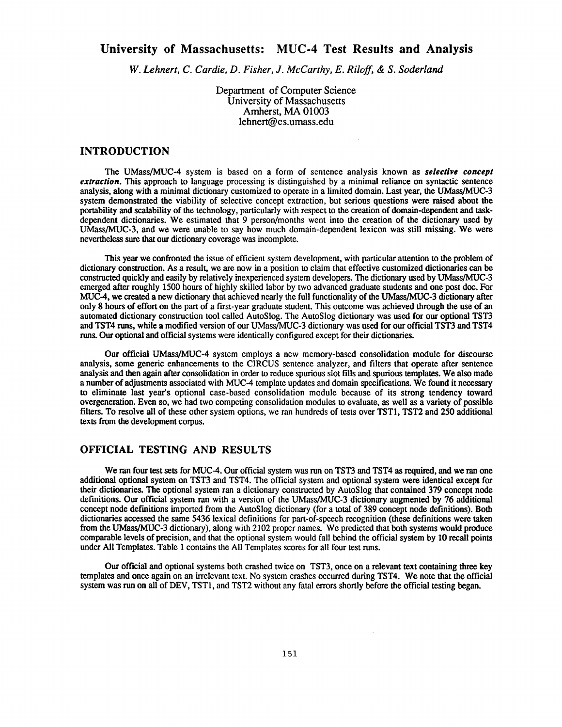# **University of Massachusetts: MUC-4 Test Results and Analysis**

**W.** *Lehnert, C. Cardie, D. Fisher, J. McCarthy, E. Riloff,* & *S. Soderland*

Department of Computer Science University of Massachusetts Amherst, MA 01003 lehnert@cs.umass.edu

# **INTRODUCTIO N**

The UMass/MUC-4 system is based on a form of sentence analysis known as *selective concept extraction*. This approach to language processing is distinguished by a minimal reliance on syntactic sentence analysis, along with a minimal dictionary customized to operate in a limited domain . Last year, the UMass/MUC-3 system demonstrated the viability of selective concept extraction, but serious questions were raised about the portability and scalability of the technology, particularly with respect to the creation of **domain-dependent** and taskdependent dictionaries. We estimated that 9 person/months went into the creation of the dictionary used by UMass/MUC-3, and we were unable to say how much domain-dependent lexicon was still missing . We were nevertheless sure that our dictionary coverage was incomplete .

This year we confronted the issue of efficient system development, with particular attention to the problem of dictionary construction. As a result, we are now in a position to claim that effective customized dictionaries can be constructed **quickly** and easily by relatively inexperienced system developers . The dictionary used by UMass/MUC- 3 emerged after roughly 1500 hours of highly skilled labor by two advanced graduate students and one post doc . For MUC-4, we created a new dictionary that achieved nearly the full functionality of the UMass/MUC-3 dictionary after only 8 hours of effort on the part of a first-year graduate student. This outcome was achieved through the use of an automated dictionary construction tool called AutoSlog . The AutoSlog dictionary was used for our optional TST3 and TST4 runs, while a modified version of our UMass/MUC-3 dictionary was used for our official TST3 and TST4 runs. Our optional and official systems were identically configured except for their dictionaries.

Our official UMass/MUC-4 system employs a new memory-based consolidation module for discourse analysis, some generic enhancements to the CIRCUS sentence analyzer, and filters that operate after sentence analysis and then **again** after consolidation in order to reduce spurious slot fills and spurious templates. We also made a number of adjustments associated with MUC-4 template updates and domain specifications . We found it necessary to eliminate last year's optional case-based consolidation module because of its strong tendency toward overgeneration. Even so, we had two competing consolidation modules to evaluate, as well as a variety of possible filters. To resolve all of these other system options, we ran hundreds of tests over TST1, TST2 and 250 additional texts from the development corpus.

# **OFFICIAL TESTING AND RESULTS**

We ran four test sets for MUC-4. Our official system was run on TST3 and TST4 as required, and we ran one additional optional system on TST3 and TST4. The official system and optional system were identical except for their dictionaries. The optional system ran a dictionary constructed by AutoSlog that contained 379 concept node definitions. Our official system ran with a version of the UMass/MUC-3 dictionary augmented by 76 additional concept node defmitions imported from the AutoSlog dictionary (for a total of 389 concept node definitions). **Both** dictionaries accessed the same 5436 lexical definitions for part-of-speech recognition (these definitions were taken from the UMass/MUC-3 dictionary), along with 2102 proper names. We predicted that both systems would produce comparable levels of precision, and that the optional system would fall behind the official system by 10 recall points under All Templates. Table 1 contains the All Templates scores for all four test runs .

Our official and optional systems both crashed twice on TST3, once on a relevant text containing three key templates and once again on an irrelevant text. No system crashes occurred during TST4. We note that the official system was run on all of DEV, TST1, and TST2 without any fatal errors shortly before the official testing began.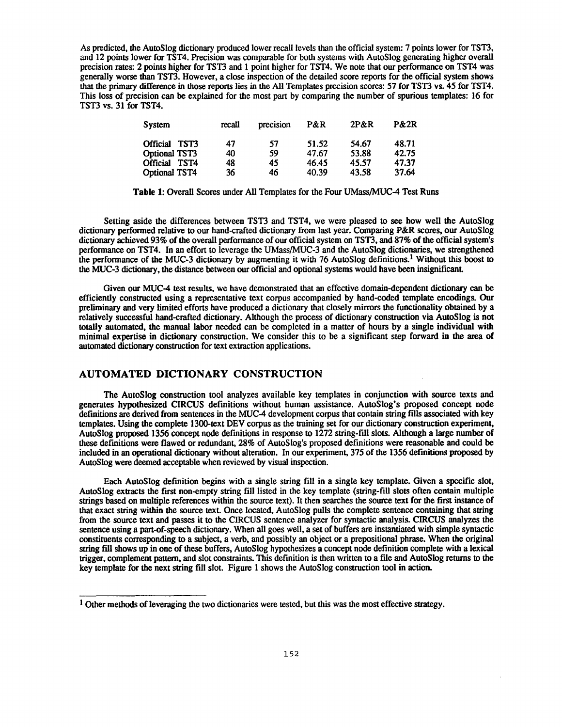As predicted, the AutoSlog dictionary produced lower recall levels than the official system: 7 points lower for TST3, and 12 points lower for TST4. Precision was comparable for both systems with AutoSlog generating higher overall precision rates: 2 points higher for TST3 and 1 point higher for TST4. We note that our performance on TST4 was generally worse than TST3. However, a close inspection of the detailed score reports for the official system shows that the primary difference in those reports lies in the All Templates precision scores : 57 for TST3 vs. 45 for TST4. This loss of precision can be explained for the most part by comparing the number of spurious templates: 16 for TST3 vs. 31 for TST4.

| System                  | recall | precision | P&R   | 2P&R  | <b>P&amp;2R</b> |
|-------------------------|--------|-----------|-------|-------|-----------------|
| <b>Official</b><br>TST3 | 47     | 57        | 51.52 | 54.67 | 48.71           |
| <b>Optional TST3</b>    | 40     | 59        | 47.67 | 53.88 | 42.75           |
| <b>Official</b><br>TST4 | 48     | 45        | 46.45 | 45.57 | 47.37           |
| <b>Optional TST4</b>    | 36     | 46        | 40.39 | 43.58 | 37.64           |

Table 1: Overall Scores under All Templates for the Four UMass/MUC-4 Test Runs

Setting aside the differences between TST3 and TST4, we were pleased to see how well the AutoSlog dictionary performed relative to our hand-crafted dictionary from last year. **Comparing** P&R scores, our AutoSlog **dictionary achieved** 93% of the overall performance of our official system on TST3, **and** 87% of the official system's performance on TST4. In an effort to leverage the UMass/MUC-3 and the AutoSlog dictionaries, we **strengthened** the performance of the MUC-3 dictionary by augmenting it with 76 AutoSlog definitions.<sup>1</sup> Without this boost to the MUC-3 **dictionary, the** distance between our official and optional systems would **have been insignificant.**

**Given our** MUC-4 test results, we have demonstrated that an effective **domain-dependent dictionary** can be efficiently **constructed using** a representative text corpus accompanied **by hand-coded** template **encodings. Our preliminary and** very limited efforts have produced a dictionary that closely mirrors the **functionality obtained by** a relatively successful **hand-crafted** dictionary. Although the process of dictionary **construction via AutoSlog** is **not totally automated, the manual** labor needed can **be** completed **in** a matter of **hours by a** single **individual** with minimal expertise in dictionary construction. We consider this to be a significant step forward in the area of automated **dictionary** construction for text extraction applications .

# **AUTOMATED DICTIONARY CONSTRUCTION**

The **AutoSlog construction** tool analyzes available key templates in conjunction with source texts and generates **hypothesized** CIRCUS definitions without human assistance . AutoSlog's **proposed** concept **node** definitions are **derived** from **sentences in the** MUC-4 **development corpus** that **contain string** fills **associated with** key **templates. Using** the **complete** 1300-text DEV **corpus** as the **training** set for **our dictionary construction experiment, AutoSlog proposed** 1356 **concept node definitions** in response to 1272 **string-fill** slots. **Although** a large **number** of these definitions were flawed or redundant, 28% of AutoS log's proposed definitions were reasonable **and** could be included in an **operational** dictionary without alteration. In our experiment, 375 of the 1356 **definitions proposed by** AutoSlog were deemed acceptable when reviewed by visual inspection .

Each **AutoSlog definition begins** with a single string fill in a single key template . Given a specific slot, AutoSlog extracts the first non-empty string fill listed in the key template (string-fill slots often contain multiple strings based on multiple references within the source text) . It then searches the source text for the first instance of that exact string within the source text. Once located, AutoSlog pulls the complete sentence containing that string from the source text and passes it to the CIRCUS sentence analyzer for syntactic analysis. CIRCUS analyzes the sentence using a part-of-speech dictionary. When all goes well, a set of buffers are instantiated with simple syntactic constituents **corresponding** to a subject, a verb, and possibly an object or a prepositional phrase . When the original string fill shows up in one of these buffers, AutoSlog hypothesizes a concept node definition complete with a lexica l trigger, complement pattern, and slot constraints. This definition is then written to a file and AutoSlog returns to the key template for the next string fill slot. Figure 1 shows the AutoSlog construction tool in action.

 $1$  Other methods of leveraging the two dictionaries were tested, but this was the most effective strategy.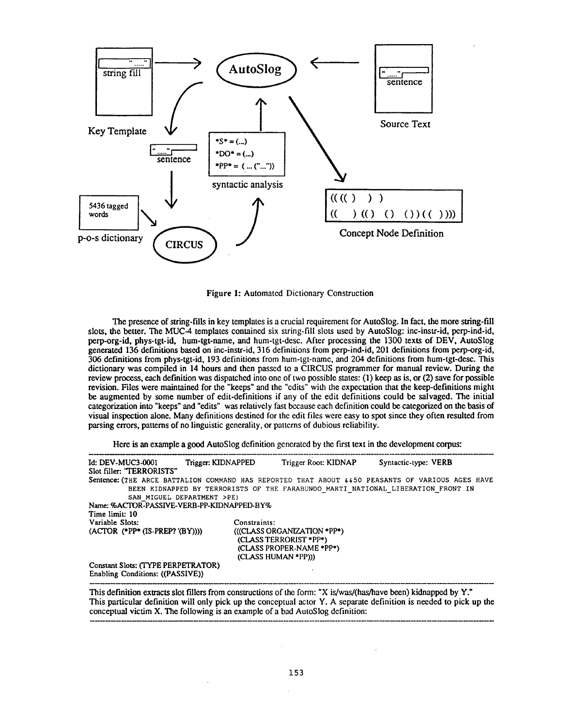

Figure 1: Automated Dictionary Construction

The presence of string-fills in key templates is a crucial requirement for AutoSlog. In fact, the more string-fill slots, the better. The MUC-4 templates contained six string-fill slots used by AutoSlog: inc-instr-id, perp-ind-id, perp-org-id, phys-tgt-id, hum-tgt-name, and hum-tgt-desc. After processing the 1300 texts of DEV, AutoSlog generated 136 definitions based on inc-instr-id, 316 definitions from perp-ind-id, 201 definitions from perp-org-id , 306 definitions from phys-tgt-id, 193 definitions from hum-tgt-name, and 204 definitions from hum-tgt-desc . This dictionary was compiled in 14 hours and then passed to a CIRCUS programmer for manual review. During the review process, each definition was dispatched into one of two possible states: (1) keep as is, or (2) save for possible revision. Files were maintained for the "keeps" and the "edits" with the expectation that the keep-definitions might be augmented by some number of edit-definitions if any of the edit definitions could be salvaged. The initial categorization into "keeps" and "edits" was relatively fast because each definition could be categorized on the basis of visual inspection alone. Many definitions destined for the edit files were easy to spot since they often resulted from parsing errors, patterns of no linguistic generality, or patterns of dubious reliability .

Here is an example a good AutoSlog definition generated by the first text in the development corpus:

| <b>Id: DEV-MUC3-0001</b><br>Slot filler: "TERRORISTS"                  | Trigger: KIDNAPPED | Trigger Root: KIDNAP                                                                                     | Syntactic-type: VERB                                                                             |
|------------------------------------------------------------------------|--------------------|----------------------------------------------------------------------------------------------------------|--------------------------------------------------------------------------------------------------|
|                                                                        |                    |                                                                                                          | Sentence: (THE ARCE BATTALION COMMAND HAS REPORTED THAT ABOUT 6650 PEASANTS OF VARIOUS AGES HAVE |
|                                                                        |                    |                                                                                                          | BEEN KIDNAPPED BY TERRORISTS OF THE FARABUNDO MARTI NATIONAL LIBERATION FRONT IN                 |
| SAN MIGUEL DEPARTMENT >PE)                                             |                    |                                                                                                          |                                                                                                  |
| Name: %ACTOR-PASSIVE-VERB-PP-KIDNAPPED-BY%                             |                    |                                                                                                          |                                                                                                  |
| Time limit: 10                                                         |                    |                                                                                                          |                                                                                                  |
| Variable Slots:                                                        | Constraints:       |                                                                                                          |                                                                                                  |
| $(ACTOR$ (*PP* $(IS-PREP? (BY))))$ )                                   |                    | (((CLASS ORGANIZATION *PP*)<br>(CLASS TERRORIST *PP*)<br>(CLASS PROPER-NAME *PP*)<br>(CLASS HUMAN *PP))) |                                                                                                  |
| Constant Slots: (TYPE PERPETRATOR)<br>Enabling Conditions: ((PASSIVE)) |                    |                                                                                                          |                                                                                                  |

This definition extracts slot fillers from constructions of the form: "X is/was/(has/have been) kidnapped by Y." This particular definition will only pick up the conceptual actor Y . A separate definition is needed to pick up the conceptual victim X. The following is an example of a bad AutoSlog definition: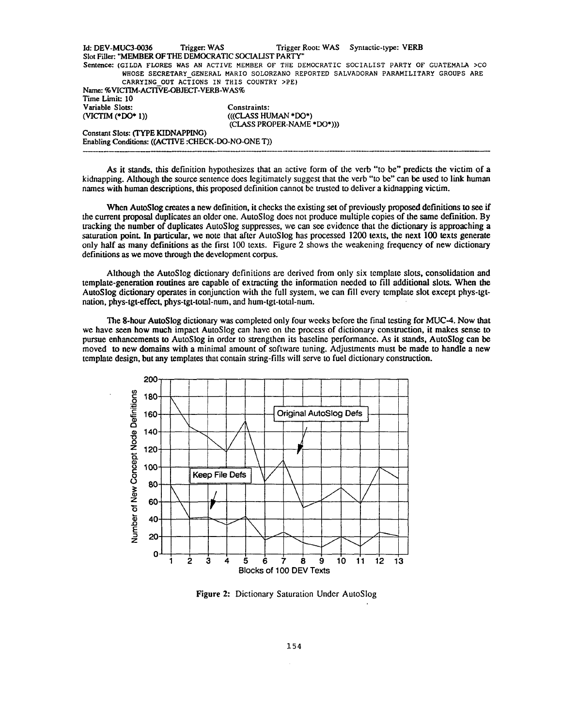Id: DEV-MUC3-0036 Trigger: WAS Trigger Root: WAS Syntactic-type: VERB Slot Filler: "MEMBER OF THE DEMOCRATIC SOCIALIST PARTY" Sentence: (GILDA FLORES WAS AN ACTIVE MEMBER OF THE DEMOCRATIC SOCIALIST PARTY OF GUATEMALA >CO WHOSE SECRETARY GENERAL MARIO SOLORZANO REPORTED SALVADORAN PARAMILITARY GROUPS ARE CARRYING OUT ACTIONS IN THIS COUNTRY >PE) Name: %VICTIM-ACTIVE-OBJECT-VERB-WAS% Time Limit: 10 **Variable Slots:** *Constraints:* (((CLASS HUMAN \*DO\*) (CLASS PROPER-NAME \*DO\*))) Constant Slots: (TYPE KIDNAPPING) **Enabling** *Conditions: ((ACTIVE :CHECK-DO-NO-ONE* T))

As it stands, this definition hypothesizes that an active form of the verb "to be" predicts the victim of a kidnapping. Although the source sentence does legitimately suggest that the verb "to be" can be used to link human names with human descriptions, this proposed definition cannot be trusted to deliver a kidnapping victim.

When AutoSlog creates a new definition, it checks the existing set of previously proposed definitions to see if the current proposal duplicates an older one . AutoSlog does not produce multiple copies of the same definition . By tracking the number of duplicates AutoSlog suppresses, we can see evidence that the dictionary is approaching a saturation point. In particular, we note that after AutoSlog has processed 1200 texts, the next 100 texts generate only half as many definitions as the first 100 texts. Figure 2 shows the weakening frequency of new dictionary definitions as we move through the development corpus.

Although the AutoSlog dictionary definitions are derived from only six template slots, consolidation and **template-generation** routines are capable of extracting the information needed to fill additional slots. When the AutoSlog dictionary operates in conjunction with the full system, we can fill every template slot except phys-tgtnation, phys-tgt-effect, phys-tgt-total-num, and hum-tgt-total-num .

The 8-hour **AutoSlog** dictionary was completed only four weeks before the final testing for MUC-4. Now tha t we have seen how much impact AutoSlog can have on the process of dictionary construction, it makes sense to pursue enhancements to AutoSlog in order to strengthen its baseline performance . As it stands, AutoSlog can be moved to new domains with a minimal amount of software tuning. Adjustments must be made to handle a new template design, but any templates that contain string-fills will serve to fuel dictionary construction.



Figure 2: Dictionary Saturation Under AutoSlog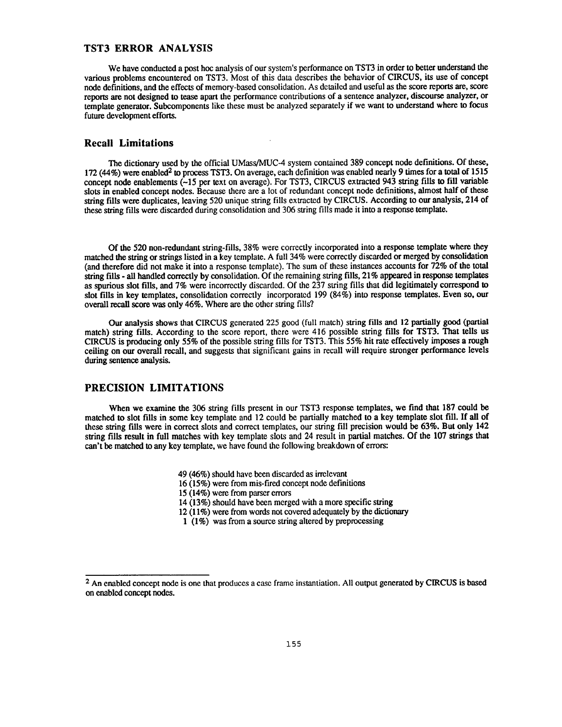## **TST3 ERROR ANALYSIS**

We have conducted a post hoc analysis of our system's performance on TST3 in order to better understand the various problems encountered on TST3. Most of this data describes the behavior of CIRCUS, its use of concept node definitions, and the effects of memory-based consolidation. As detailed and useful as the score reports are, score reports are not designed to tease apart the performance contributions of a sentence analyzer, discourse analyzer, or template generator. Subcomponents like these must be analyzed separately if we want to understand where to focus future development efforts.

### **Recall Limitations**

The dictionary used by the official UMass/MUC-4 system contained 389 concept node definitions. Of these, 172 (44%) were enabled<sup>2</sup> to process TST3. On average, each definition was enabled nearly 9 times for a total of 1515 concept node enablements  $(-15$  per text on average). For TST3, CIRCUS extracted 943 string fills to fill variable slots in enabled concept nodes. Because there are a lot of redundant concept node definitions, almost half of these string fills were **duplicates,** leaving 520 unique string fills extracted by CIRCUS . According to our analysis, 214 of these string fills were discarded during consolidation and 306 string fills made it into a response template.

Of the 520 non-redundant string-fills, 38% were correctly incorporated into a response template where they matched the string or strings listed in a key template . A full 34% were correctly discarded or merged by consolidation (and therefore did not make it into a response template). The sum of these instances accounts for 72% of the total string fills - all handled correctly by consolidation. Of the remaining string fills, 21% appeared in response templates as spurious slot fills, and 7% were incorrectly discarded . Of the 237 string fills that did legitimately **correspond** to slot fills in key templates, consolidation correctly incorporated 199 (84%) into response templates . Even so, our overall recall score was only 46%. Where are the other string fills?

Our analysis shows that CIRCUS generated 225 good (full match) string fills and 12 partially good (partial match) string fills. According to the score report, there were 416 possible string fills for TST3 . That tells us CIRCUS is producing only 55% of the possible string fills for TST3. This 55% hit rate effectively imposes a **rough** ceiling on our overall recall, and suggests that significant gains in recall will require stronger performance levels during sentence analysis.

#### **PRECISION LIMITATIONS**

When we examine the 306 string fills present in our TST3 response templates, we find that 187 could be matched to slot fills in some key template and 12 could be partially matched to a key template slot fill. If all of these string fills were in correct slots and correct templates, our string fill precision would be 63% . But **only** 142 string fills result in full matches with key template slots and 24 result in partial matches. Of the 107 strings that can't be matched to any key template, we have found the following breakdown of errors:

- 49 (46%) should have been discarded as irrelevant
- 16 (15%) were from mis-fired concept node definitions
- 15 (14%) were from parser errors
- 14 (13%) should have been merged with a more specific string
- 12 (11%) were from words not covered adequately by the dictionary
- 1 (1%) was from a source string altered by preprocessing

<sup>&</sup>lt;sup>2</sup> An enabled concept node is one that produces a case frame instantiation. All output generated by CIRCUS is based on enabled concept nodes .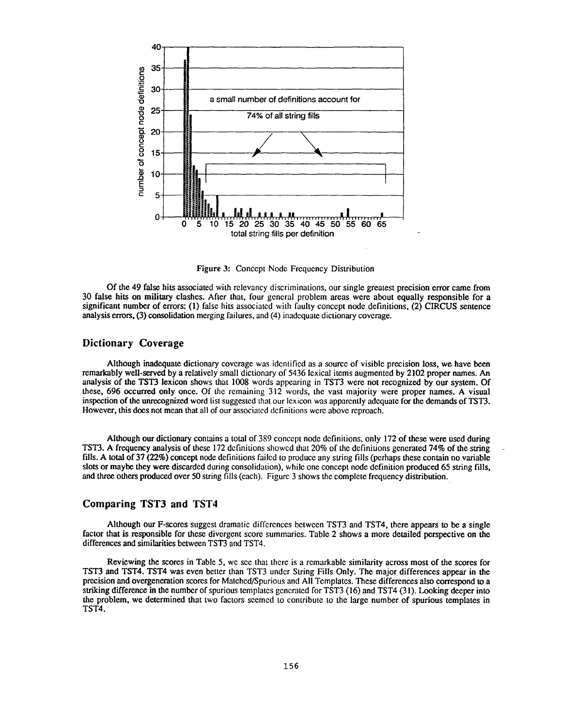

Figure 3: Concept Node Frequency Distribution

Of the 49 false hits associated with relevancy discriminations, our single greatest precision error came from 30 false hits on military clashes. After that, four general problem areas were about equally responsible for a significant number of errors: (1) false hits associated with faulty concept node definitions, (2) CIRCUS sentence analysis errors, (3) consolidation merging failures, and (4) inadequate dictionary coverage .

# **Dictionary Coverage**

Although **inadequate** dictionary coverage was identified as a source of visible precision loss, we have bee n remarkably well-served by a relatively small dictionary of 5436 lexical items augmented by 2102 proper names . An analysis of the TST3 lexicon shows that 1008 words appearing in TST3 were not recognized by our system . Of these, 696 occurred only once . Of the remaining 312 words, the vast majority were proper names . A visual inspection of the unrecognized word list suggested that our lexicon was apparently adequate for the demands of TST3. However, this does not mean that all of our associated definitions were above reproach.

Although our dictionary contains a total of 389 concept node definitions, only 172 of these were used during TST3 . A frequency analysis of these 172 definitions showed that 20% of the definitions generated 74% of the string fills. A total of 37 (22%) concept node definitions failed to produce any string fills (perhaps these contain no variable slots or maybe they were discarded during consolidation), while one concept node definition produced 65 string fills, and three others produced over 50 string fills (each). Figure 3 shows the complete frequency distribution .

### **Comparing TST3 and TST4**

Although our F-scores suggest dramatic differences between TST3 and TST4, there appears to be a single factor that is responsible for these divergent score summaries. Table 2 shows a more detailed perspective on the differences and similarities between TST3 and TST4 .

Reviewing the scores in Table 5, we see that there is a remarkable similarity across most of the scores for TST3 and TST4. TST4 was even better than TST3 under String Fills Only. The major differences appear in the precision and overgeneration scores for Matched/Spurious and All Templates . These differences also correspond to a striking difference in the number of spurious templates generated for TST3 (16) and TST4 (31). Looking deeper into the problem, we determined that two factors seemed to contribute to the large number of spurious templates in TST4.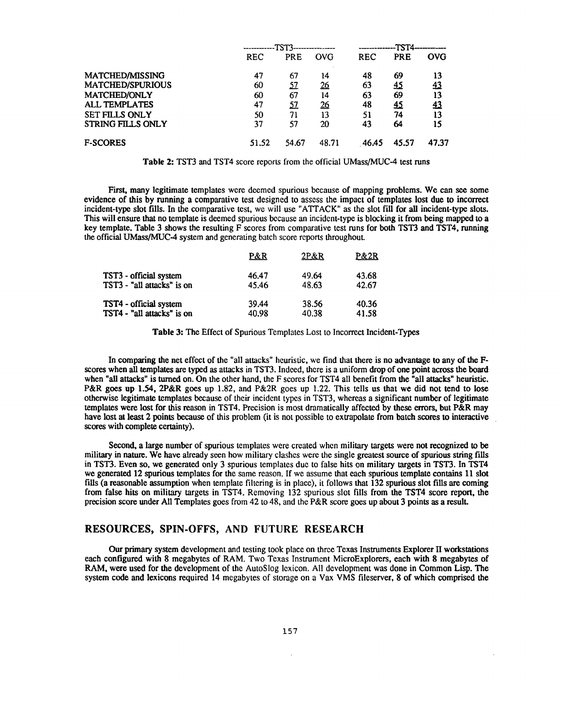|                          | ------------TST3-- |            |            |            |       |            |
|--------------------------|--------------------|------------|------------|------------|-------|------------|
|                          | <b>REC</b>         | <b>PRE</b> | OVG        | <b>REC</b> | PRE   | <b>OVG</b> |
| MATCHED/MISSING          | 47                 | 67         | 14         | 48         | 69    | 13         |
| <b>MATCHED/SPURIOUS</b>  | 60                 | <u>57</u>  | <u> 26</u> | 63         | 45    | 43         |
| MATCHED/ONLY             | 60                 | 67         | 14         | 63         | 69    | 13         |
| <b>ALL TEMPLATES</b>     | 47                 | <u>57</u>  | <u> 26</u> | 48         | 45    | <u>43</u>  |
| <b>SET FILLS ONLY</b>    | 50                 | 71         | 13         | 51         | 74    | 13         |
| <b>STRING FILLS ONLY</b> | 37                 | 57         | 20         | 43         | 64    | 15         |
| <b>F-SCORES</b>          | 51.52              | 54.67      | 48.71      | 46.45      | 45.57 | 47.37      |

**Table 2: TST3 and TST4 score reports from the official UMass/MUC-4 test runs** 

First, many legitimate templates were deemed spurious because of mapping problems . We can see some evidence of this by running a comparative test designed to assess the impact of templates lost due to incorrect incident-type slot fills. In the comparative test, we will use "ATTACK" as the slot fill for all incident-type slots. This will ensure that no template is deemed spurious because an incident-type is blocking it from being mapped to a key template. Table 3 shows the resulting F scores from comparative test runs for both TST3 and TST4, running the official UMass/MUC-4 system and generating batch score reports throughout.

|                            | P&R   | $2P\&R$ | P&2R  |
|----------------------------|-------|---------|-------|
| TST3 - official system     | 46.47 | 49.64   | 43.68 |
| TST3 - "all attacks" is on | 45.46 | 48.63   | 42.67 |
| TST4 - official system     | 39.44 | 38.56   | 40.36 |
| TST4 - "all attacks" is on | 40.98 | 40.38   | 41.58 |

**Table 3: The Effect of Spurious Templates Lost to Incorrect Incident-Types** 

In comparing the net effect of the "all attacks" heuristic, we find that there is no advantage to any of the Fscores when all templates are typed as attacks in TST3 . Indeed, there is a uniform drop of one point across the board when "all attacks" is turned on. On the other hand, the F scores for TST4 all benefit from the "all attacks" heuristic. P&R **goes up** <sup>1</sup> .54, 2P&R goes up 1 .82, and P&2R goes up 1 .22. This tells us that we did **not** tend **to** lose otherwise legitimate templates because of their incident types in TST3, whereas a significant number of legitimate templates were lost for this reason in TST4 . Precision is most dramatically affected by these errors, but P&R may have lost at least 2 points because of this problem (it is not possible to extrapolate from batch scores to interactive scores with complete certainty).

Second, a large number of spurious templates were created when military targets were not recognized to be **military in nature .** We have already seen how military clashes were the single greatest source of **spurious** string fills in TST3. **Even so,** we generated only 3 spurious templates due to false hits on military targets in TST3 . **In** TST4 we generated 12 spurious templates for the same reason. If we assume that each spurious template contains 11 slot fills (a reasonable assumption when template filtering is in place), it follows that 132 spurious slot fills are coming from false hits on military targets in TST4. Removing 132 spurious slot fills from the TST4 score report, the precision score under All Templates goes from 42 to 48, and the P&R score goes up about 3 points as a result .

## **RESOURCES, SPIN-OFFS, AND FUTURE RESEARCH**

Our primary system development and testing took place on three Texas Instruments Explorer II workstations each configured with 8 megabytes of RAM. Two Texas Instrument MicroExplorers, each with 8 megabytes of RAM, were used for the development of the AutoSlog lexicon. All development was done in Common Lisp. The system code and lexicons required 14 megabytes of storage on a Vax VMS fileserver, 8 of which comprised the